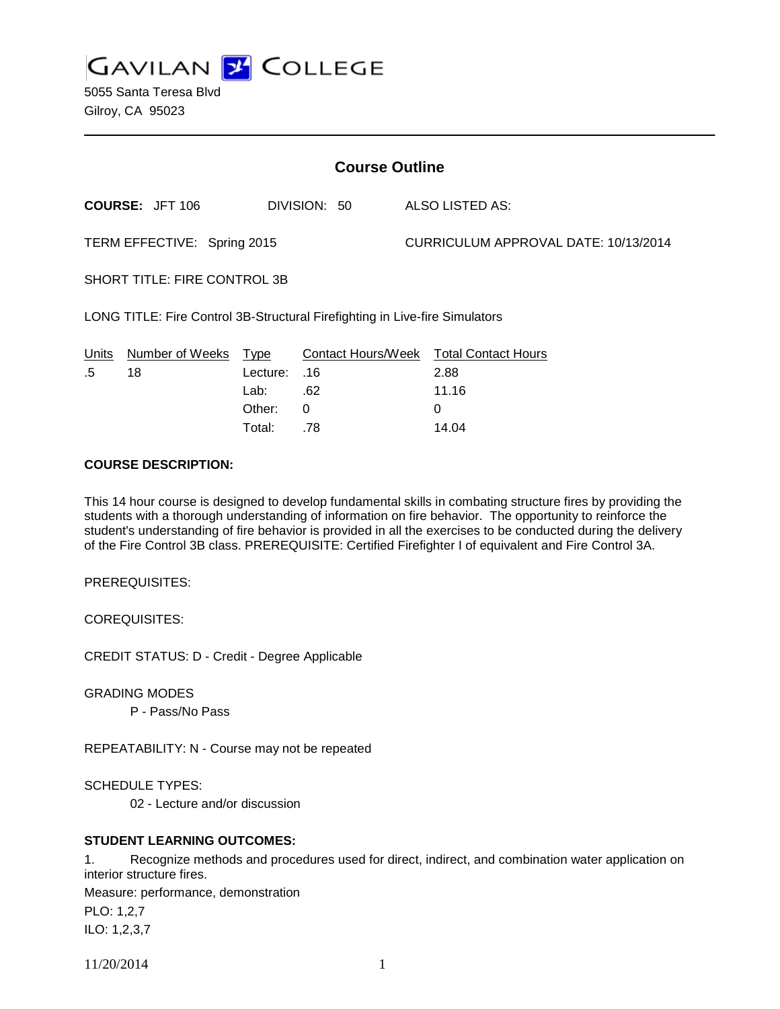**GAVILAN J COLLEGE** 

| <b>Course Outline</b>                                                       |                        |          |                           |  |                                      |
|-----------------------------------------------------------------------------|------------------------|----------|---------------------------|--|--------------------------------------|
|                                                                             | <b>COURSE: JFT 106</b> |          | DIVISION: 50              |  | ALSO LISTED AS:                      |
| TERM EFFECTIVE: Spring 2015                                                 |                        |          |                           |  | CURRICULUM APPROVAL DATE: 10/13/2014 |
| <b>SHORT TITLE: FIRE CONTROL 3B</b>                                         |                        |          |                           |  |                                      |
| LONG TITLE: Fire Control 3B-Structural Firefighting in Live-fire Simulators |                        |          |                           |  |                                      |
| Units                                                                       | Number of Weeks        | Type     | <b>Contact Hours/Week</b> |  | <b>Total Contact Hours</b>           |
| .5                                                                          | 18                     | Lecture: | .16                       |  | 2.88                                 |
|                                                                             |                        | Lab:     | .62                       |  | 11.16                                |
|                                                                             |                        | Other:   | 0                         |  | 0                                    |
|                                                                             |                        | Total:   | .78                       |  | 14.04                                |

#### **COURSE DESCRIPTION:**

This 14 hour course is designed to develop fundamental skills in combating structure fires by providing the students with a thorough understanding of information on fire behavior. The opportunity to reinforce the student's understanding of fire behavior is provided in all the exercises to be conducted during the delivery of the Fire Control 3B class. PREREQUISITE: Certified Firefighter I of equivalent and Fire Control 3A.

PREREQUISITES:

COREQUISITES:

CREDIT STATUS: D - Credit - Degree Applicable

GRADING MODES

P - Pass/No Pass

REPEATABILITY: N - Course may not be repeated

SCHEDULE TYPES:

02 - Lecture and/or discussion

#### **STUDENT LEARNING OUTCOMES:**

1. Recognize methods and procedures used for direct, indirect, and combination water application on interior structure fires. Measure: performance, demonstration PLO: 1,2,7

ILO: 1,2,3,7

11/20/2014 1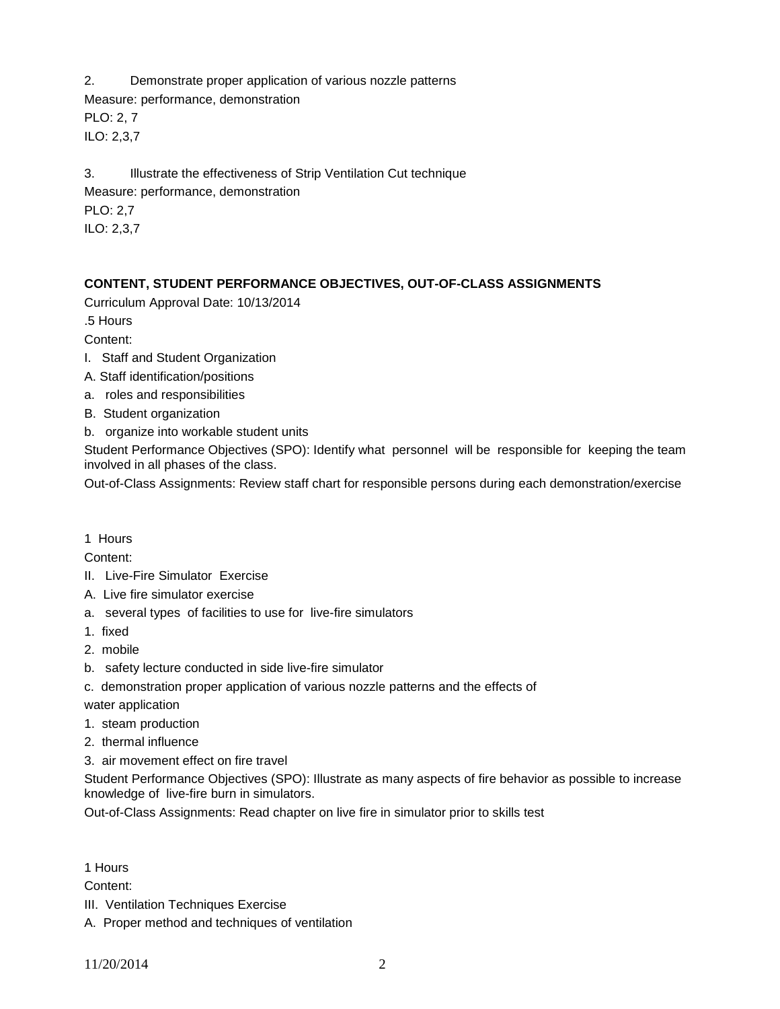2. Demonstrate proper application of various nozzle patterns Measure: performance, demonstration PLO: 2, 7 ILO: 2,3,7

3. Illustrate the effectiveness of Strip Ventilation Cut technique Measure: performance, demonstration

PLO: 2,7

ILO: 2,3,7

# **CONTENT, STUDENT PERFORMANCE OBJECTIVES, OUT-OF-CLASS ASSIGNMENTS**

Curriculum Approval Date: 10/13/2014

.5 Hours

Content:

- I. Staff and Student Organization
- A. Staff identification/positions
- a. roles and responsibilities
- B. Student organization
- b. organize into workable student units

Student Performance Objectives (SPO): Identify what personnel will be responsible for keeping the team involved in all phases of the class.

Out-of-Class Assignments: Review staff chart for responsible persons during each demonstration/exercise

# 1 Hours

Content:

- II. Live-Fire Simulator Exercise
- A. Live fire simulator exercise
- a. several types of facilities to use for live-fire simulators
- 1. fixed
- 2. mobile
- b. safety lecture conducted in side live-fire simulator
- c. demonstration proper application of various nozzle patterns and the effects of

water application

- 1. steam production
- 2. thermal influence
- 3. air movement effect on fire travel

Student Performance Objectives (SPO): Illustrate as many aspects of fire behavior as possible to increase knowledge of live-fire burn in simulators.

Out-of-Class Assignments: Read chapter on live fire in simulator prior to skills test

1 Hours

Content:

- III. Ventilation Techniques Exercise
- A. Proper method and techniques of ventilation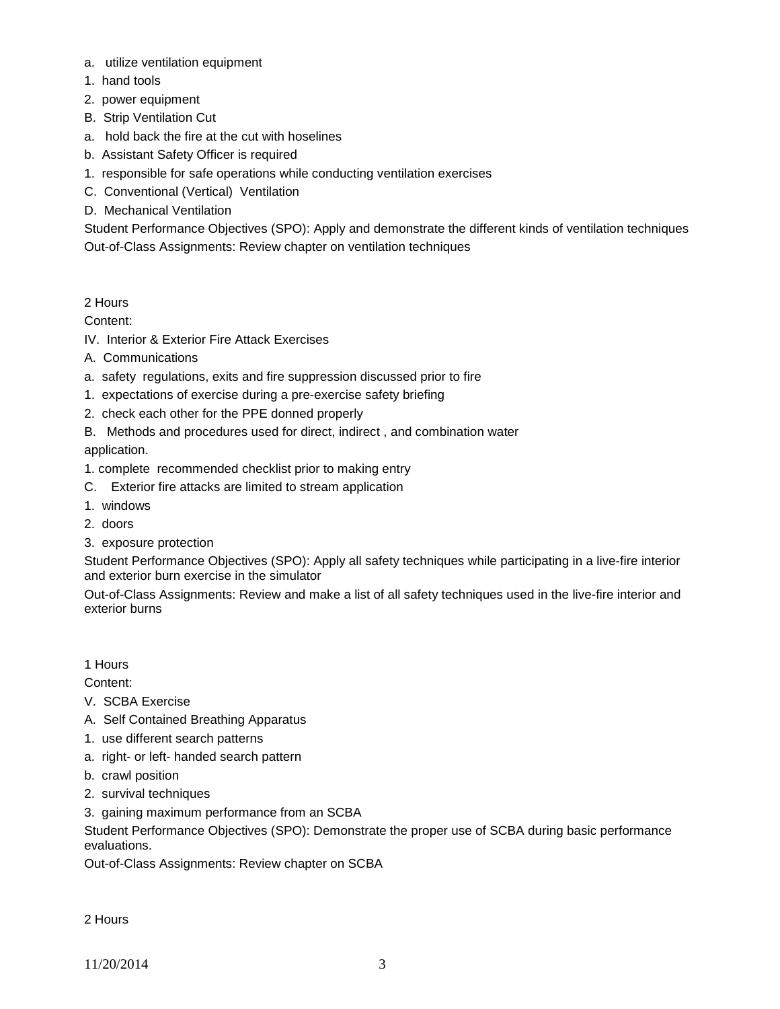- a. utilize ventilation equipment
- 1. hand tools
- 2. power equipment
- B. Strip Ventilation Cut
- a. hold back the fire at the cut with hoselines
- b. Assistant Safety Officer is required
- 1. responsible for safe operations while conducting ventilation exercises
- C. Conventional (Vertical) Ventilation
- D. Mechanical Ventilation

Student Performance Objectives (SPO): Apply and demonstrate the different kinds of ventilation techniques Out-of-Class Assignments: Review chapter on ventilation techniques

## 2 Hours

Content:

- IV. Interior & Exterior Fire Attack Exercises
- A. Communications
- a. safety regulations, exits and fire suppression discussed prior to fire
- 1. expectations of exercise during a pre-exercise safety briefing
- 2. check each other for the PPE donned properly
- B. Methods and procedures used for direct, indirect , and combination water application.
- 1. complete recommended checklist prior to making entry
- C. Exterior fire attacks are limited to stream application
- 1. windows
- 2. doors
- 3. exposure protection

Student Performance Objectives (SPO): Apply all safety techniques while participating in a live-fire interior and exterior burn exercise in the simulator

Out-of-Class Assignments: Review and make a list of all safety techniques used in the live-fire interior and exterior burns

1 Hours

Content:

- V. SCBA Exercise
- A. Self Contained Breathing Apparatus
- 1. use different search patterns
- a. right- or left- handed search pattern
- b. crawl position
- 2. survival techniques
- 3. gaining maximum performance from an SCBA

Student Performance Objectives (SPO): Demonstrate the proper use of SCBA during basic performance evaluations.

Out-of-Class Assignments: Review chapter on SCBA

2 Hours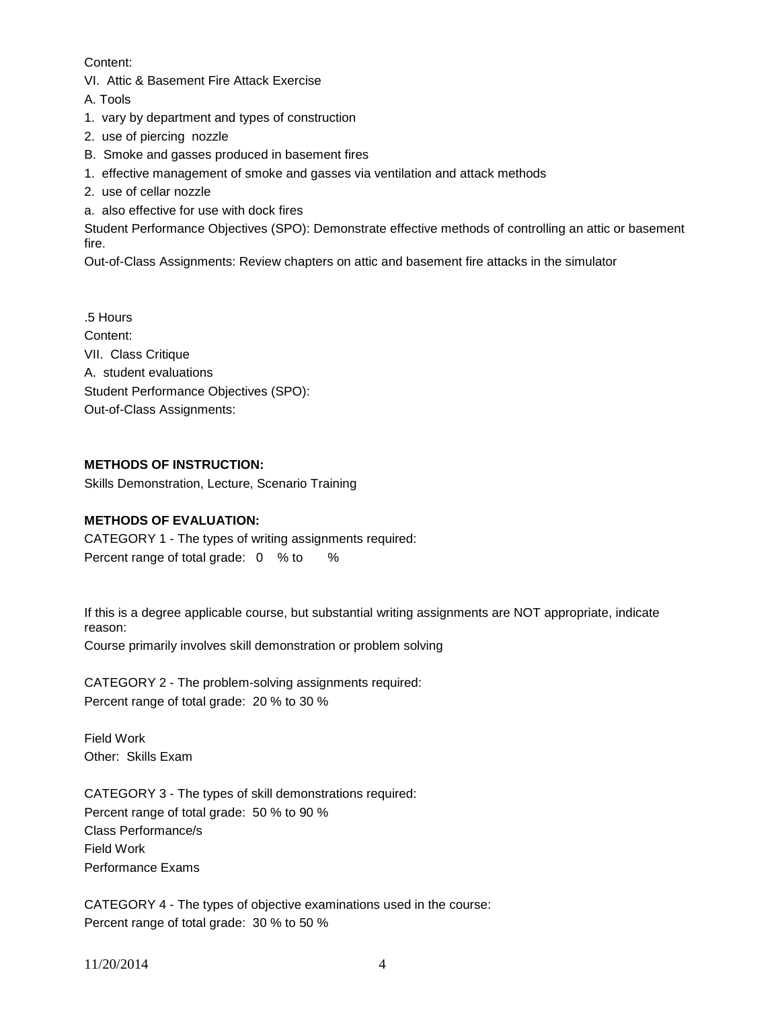## Content:

VI. Attic & Basement Fire Attack Exercise

A. Tools

1. vary by department and types of construction

- 2. use of piercing nozzle
- B. Smoke and gasses produced in basement fires
- 1. effective management of smoke and gasses via ventilation and attack methods
- 2. use of cellar nozzle
- a. also effective for use with dock fires

Student Performance Objectives (SPO): Demonstrate effective methods of controlling an attic or basement fire.

Out-of-Class Assignments: Review chapters on attic and basement fire attacks in the simulator

.5 Hours Content: VII. Class Critique A. student evaluations Student Performance Objectives (SPO): Out-of-Class Assignments:

# **METHODS OF INSTRUCTION:**

Skills Demonstration, Lecture, Scenario Training

## **METHODS OF EVALUATION:**

CATEGORY 1 - The types of writing assignments required: Percent range of total grade: 0 % to %

If this is a degree applicable course, but substantial writing assignments are NOT appropriate, indicate reason:

Course primarily involves skill demonstration or problem solving

CATEGORY 2 - The problem-solving assignments required: Percent range of total grade: 20 % to 30 %

Field Work Other: Skills Exam

CATEGORY 3 - The types of skill demonstrations required: Percent range of total grade: 50 % to 90 % Class Performance/s Field Work Performance Exams

CATEGORY 4 - The types of objective examinations used in the course: Percent range of total grade: 30 % to 50 %

11/20/2014 4